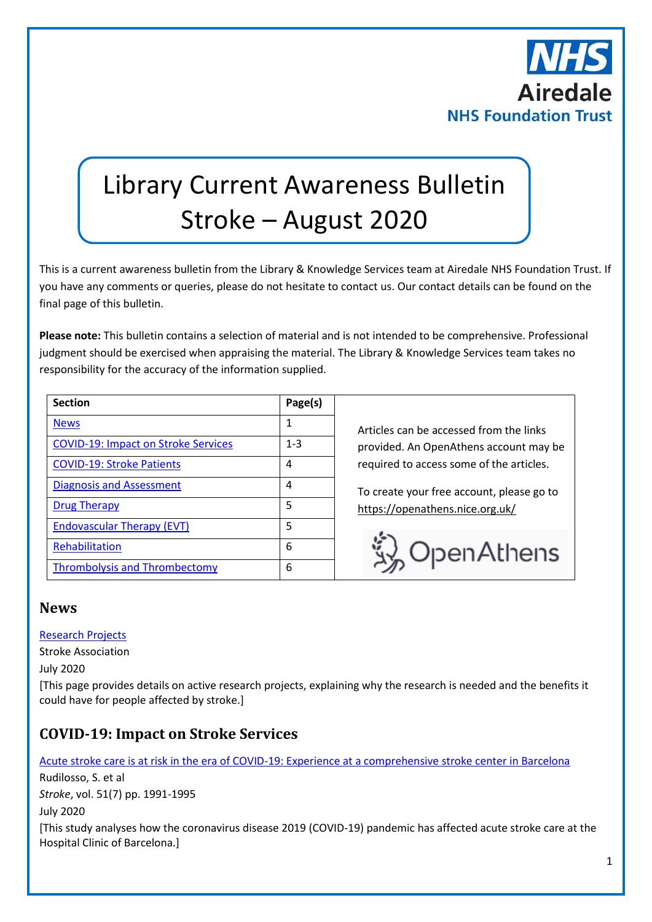

# Library Current Awareness Bulletin Stroke – August 2020

This is a current awareness bulletin from the Library & Knowledge Services team at Airedale NHS Foundation Trust. If you have any comments or queries, please do not hesitate to contact us. Our contact details can be found on the final page of this bulletin.

**Please note:** This bulletin contains a selection of material and is not intended to be comprehensive. Professional judgment should be exercised when appraising the material. The Library & Knowledge Services team takes no responsibility for the accuracy of the information supplied.

| <b>Section</b>                             | Page(s) |
|--------------------------------------------|---------|
| <b>News</b>                                | 1       |
| <b>COVID-19: Impact on Stroke Services</b> | $1 - 3$ |
| <b>COVID-19: Stroke Patients</b>           | 4       |
| <b>Diagnosis and Assessment</b>            | 4       |
| <b>Drug Therapy</b>                        | 5       |
| <b>Endovascular Therapy (EVT)</b>          | 5       |
| Rehabilitation                             | 6       |
| <b>Thrombolysis and Thrombectomy</b>       | 6       |

Articles can be accessed from the links provided. An OpenAthens account may be required to access some of the articles.

To create your free account, please go to <https://openathens.nice.org.uk/>



## <span id="page-0-0"></span>**News**

#### [Research Projects](https://www.stroke.org.uk/research/research-projects)

Stroke Association

July 2020

[This page provides details on active research projects, explaining why the research is needed and the benefits it could have for people affected by stroke.]

## <span id="page-0-1"></span>**COVID-19: Impact on Stroke Services**

[Acute stroke care is at risk in the era of COVID-19: Experience at a comprehensive stroke center in Barcelona](https://www.ncbi.nlm.nih.gov/pmc/articles/PMC7258755/)

Rudilosso, S. et al *Stroke*, vol. 51(7) pp. 1991-1995

July 2020

[This study analyses how the coronavirus disease 2019 (COVID-19) pandemic has affected acute stroke care at the Hospital Clinic of Barcelona.]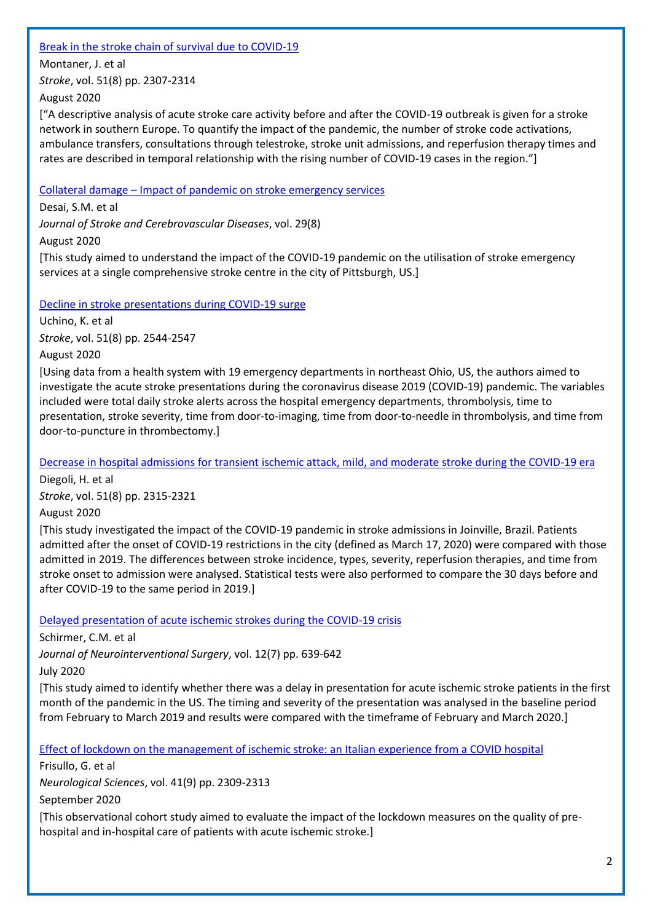#### [Break in the stroke chain of survival due to COVID-19](https://www.ncbi.nlm.nih.gov/pmc/articles/PMC7282408/)

Montaner, J. et al

*Stroke*, vol. 51(8) pp. 2307-2314

August 2020

["A descriptive analysis of acute stroke care activity before and after the COVID-19 outbreak is given for a stroke network in southern Europe. To quantify the impact of the pandemic, the number of stroke code activations, ambulance transfers, consultations through telestroke, stroke unit admissions, and reperfusion therapy times and rates are described in temporal relationship with the rising number of COVID-19 cases in the region."]

## Collateral damage – [Impact of pandemic on stroke emergency services](https://www.strokejournal.org/article/S1052-3057(20)30406-7/pdf)

Desai, S.M. et al

*Journal of Stroke and Cerebrovascular Diseases*, vol. 29(8)

August 2020

[This study aimed to understand the impact of the COVID-19 pandemic on the utilisation of stroke emergency services at a single comprehensive stroke centre in the city of Pittsburgh, US.]

## [Decline in stroke presentations during COVID-19 surge](https://www.ncbi.nlm.nih.gov/pmc/articles/PMC7309646/)

Uchino, K. et al *Stroke*, vol. 51(8) pp. 2544-2547

August 2020

[Using data from a health system with 19 emergency departments in northeast Ohio, US, the authors aimed to investigate the acute stroke presentations during the coronavirus disease 2019 (COVID-19) pandemic. The variables included were total daily stroke alerts across the hospital emergency departments, thrombolysis, time to presentation, stroke severity, time from door-to-imaging, time from door-to-needle in thrombolysis, and time from door-to-puncture in thrombectomy.]

[Decrease in hospital admissions for transient ischemic attack, mild, and moderate stroke during the COVID-19 era](https://www.ncbi.nlm.nih.gov/pmc/articles/PMC7302100/)

Diegoli, H. et al

*Stroke*, vol. 51(8) pp. 2315-2321

August 2020

[This study investigated the impact of the COVID-19 pandemic in stroke admissions in Joinville, Brazil. Patients admitted after the onset of COVID-19 restrictions in the city (defined as March 17, 2020) were compared with those admitted in 2019. The differences between stroke incidence, types, severity, reperfusion therapies, and time from stroke onset to admission were analysed. Statistical tests were also performed to compare the 30 days before and after COVID-19 to the same period in 2019.]

[Delayed presentation of acute ischemic strokes during the COVID-19 crisis](https://jnis.bmj.com/content/neurintsurg/12/7/639.full.pdf)

Schirmer, C.M. et al

*Journal of Neurointerventional Surgery*, vol. 12(7) pp. 639-642

July 2020

[This study aimed to identify whether there was a delay in presentation for acute ischemic stroke patients in the first month of the pandemic in the US. The timing and severity of the presentation was analysed in the baseline period from February to March 2019 and results were compared with the timeframe of February and March 2020.]

[Effect of lockdown on the management of ischemic stroke: an Italian experience from a COVID hospital](https://link.springer.com/content/pdf/10.1007/s10072-020-04545-9.pdf)

Frisullo, G. et al *Neurological Sciences*, vol. 41(9) pp. 2309-2313 September 2020

[This observational cohort study aimed to evaluate the impact of the lockdown measures on the quality of prehospital and in-hospital care of patients with acute ischemic stroke.]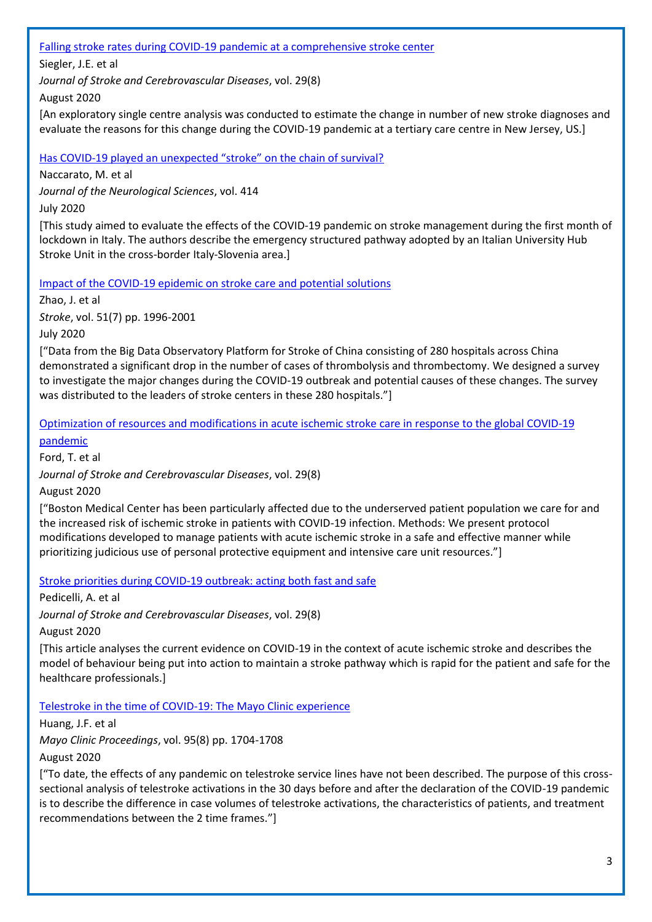#### [Falling stroke rates during COVID-19 pandemic at a comprehensive stroke center](https://www.strokejournal.org/article/S1052-3057(20)30361-X/pdf)

Siegler, J.E. et al

*Journal of Stroke and Cerebrovascular Diseases*, vol. 29(8)

August 2020

[An exploratory single centre analysis was conducted to estimate the change in number of new stroke diagnoses and evaluate the reasons for this change during the COVID-19 pandemic at a tertiary care centre in New Jersey, US.]

Has COVID-[19 played an unexpected "stroke" on the chain of survival?](https://www.jns-journal.com/article/S0022-510X(20)30225-2/fulltext)

Naccarato, M. et al

*Journal of the Neurological Sciences*, vol. 414

July 2020

[This study aimed to evaluate the effects of the COVID-19 pandemic on stroke management during the first month of lockdown in Italy. The authors describe the emergency structured pathway adopted by an Italian University Hub Stroke Unit in the cross-border Italy-Slovenia area.]

[Impact of the COVID-19 epidemic on stroke care and potential solutions](https://www.ncbi.nlm.nih.gov/pmc/articles/PMC7258753/)

Zhao, J. et al

*Stroke*, vol. 51(7) pp. 1996-2001

July 2020

["Data from the Big Data Observatory Platform for Stroke of China consisting of 280 hospitals across China demonstrated a significant drop in the number of cases of thrombolysis and thrombectomy. We designed a survey to investigate the major changes during the COVID-19 outbreak and potential causes of these changes. The survey was distributed to the leaders of stroke centers in these 280 hospitals."]

Optimization of resources and [modifications in acute ischemic stroke care in response to the global COVID-19](https://www.strokejournal.org/article/S1052-3057(20)30398-0/pdf)  [pandemic](https://www.strokejournal.org/article/S1052-3057(20)30398-0/pdf)

Ford, T. et al

*Journal of Stroke and Cerebrovascular Diseases*, vol. 29(8)

August 2020

["Boston Medical Center has been particularly affected due to the underserved patient population we care for and the increased risk of ischemic stroke in patients with COVID-19 infection. Methods: We present protocol modifications developed to manage patients with acute ischemic stroke in a safe and effective manner while prioritizing judicious use of personal protective equipment and intensive care unit resources."]

Stroke priorities during COVID-19 [outbreak: acting both fast and safe](https://www.strokejournal.org/article/S1052-3057(20)30328-1/pdf)

Pedicelli, A. et al

*Journal of Stroke and Cerebrovascular Diseases*, vol. 29(8)

August 2020

[This article analyses the current evidence on COVID-19 in the context of acute ischemic stroke and describes the model of behaviour being put into action to maintain a stroke pathway which is rapid for the patient and safe for the healthcare professionals.]

[Telestroke in the time of COVID-19: The Mayo Clinic experience](https://www.mayoclinicproceedings.org/article/S0025-6196(20)30606-6/pdf)

Huang, J.F. et al *Mayo Clinic Proceedings*, vol. 95(8) pp. 1704-1708 August 2020

["To date, the effects of any pandemic on telestroke service lines have not been described. The purpose of this crosssectional analysis of telestroke activations in the 30 days before and after the declaration of the COVID-19 pandemic is to describe the difference in case volumes of telestroke activations, the characteristics of patients, and treatment recommendations between the 2 time frames."]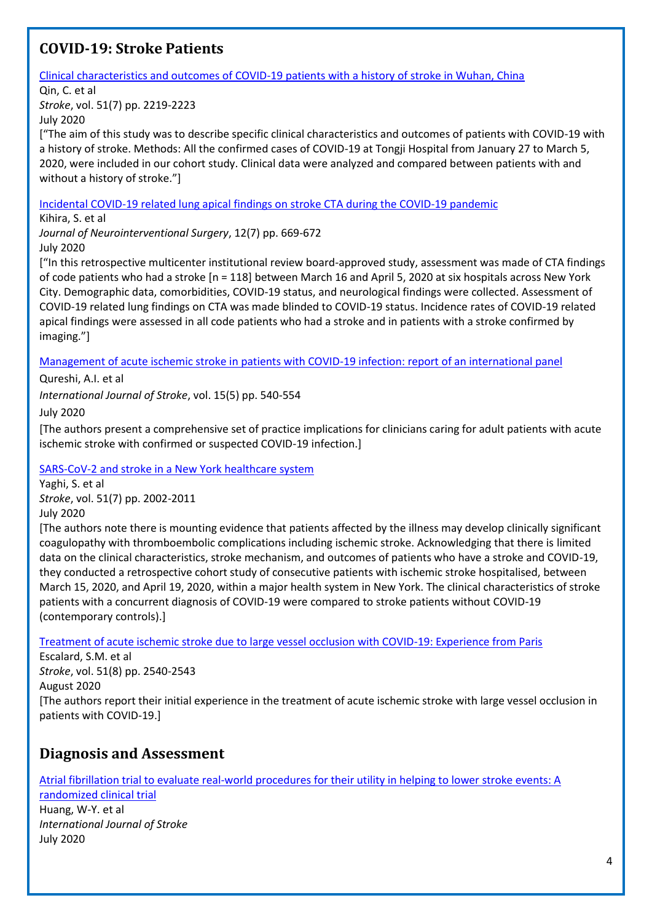## <span id="page-3-0"></span>**COVID-19: Stroke Patients**

[Clinical characteristics and outcomes of COVID-19 patients with a history of stroke in Wuhan, China](https://www.ncbi.nlm.nih.gov/pmc/articles/PMC7282412/)

#### Qin, C. et al

*Stroke*, vol. 51(7) pp. 2219-2223

July 2020

["The aim of this study was to describe specific clinical characteristics and outcomes of patients with COVID-19 with a history of stroke. Methods: All the confirmed cases of COVID-19 at Tongji Hospital from January 27 to March 5, 2020, were included in our cohort study. Clinical data were analyzed and compared between patients with and without a history of stroke."]

[Incidental COVID-19 related lung apical findings on stroke CTA during the COVID-19 pandemic](https://jnis.bmj.com/content/neurintsurg/12/7/669.full.pdf)

Kihira, S. et al

*Journal of Neurointerventional Surgery*, 12(7) pp. 669-672 July 2020

["In this retrospective multicenter institutional review board-approved study, assessment was made of CTA findings of code patients who had a stroke [n = 118] between March 16 and April 5, 2020 at six hospitals across New York City. Demographic data, comorbidities, COVID-19 status, and neurological findings were collected. Assessment of COVID-19 related lung findings on CTA was made blinded to COVID-19 status. Incidence rates of COVID-19 related apical findings were assessed in all code patients who had a stroke and in patients with a stroke confirmed by imaging."]

[Management of acute ischemic stroke in patients with COVID-19 infection: report of an international panel](https://journals.sagepub.com/doi/pdf/10.1177/1747493020923234)

Qureshi, A.I. et al

*International Journal of Stroke*, vol. 15(5) pp. 540-554

July 2020

[The authors present a comprehensive set of practice implications for clinicians caring for adult patients with acute ischemic stroke with confirmed or suspected COVID-19 infection.]

[SARS-CoV-2 and stroke in a New York healthcare system](https://www.ncbi.nlm.nih.gov/pmc/articles/PMC7258764/)

Yaghi, S. et al *Stroke*, vol. 51(7) pp. 2002-2011 July 2020

[The authors note there is mounting evidence that patients affected by the illness may develop clinically significant coagulopathy with thromboembolic complications including ischemic stroke. Acknowledging that there is limited data on the clinical characteristics, stroke mechanism, and outcomes of patients who have a stroke and COVID-19, they conducted a retrospective cohort study of consecutive patients with ischemic stroke hospitalised, between March 15, 2020, and April 19, 2020, within a major health system in New York. The clinical characteristics of stroke patients with a concurrent diagnosis of COVID-19 were compared to stroke patients without COVID-19 (contemporary controls).]

[Treatment of acute ischemic stroke due to large vessel occlusion with COVID-19: Experience from Paris](https://www.ncbi.nlm.nih.gov/pmc/articles/PMC7282400/)

Escalard, S.M. et al *Stroke*, vol. 51(8) pp. 2540-2543 August 2020 [The authors report their initial experience in the treatment of acute ischemic stroke with large vessel occlusion in patients with COVID-19.]

## <span id="page-3-1"></span>**Diagnosis and Assessment**

[Atrial fibrillation trial to evaluate real-world procedures for their utility in helping to lower stroke events: A](https://journals.sagepub.com/doi/full/10.1177/1747493020938297) 

[randomized clinical trial](https://journals.sagepub.com/doi/full/10.1177/1747493020938297) Huang, W-Y. et al *International Journal of Stroke* July 2020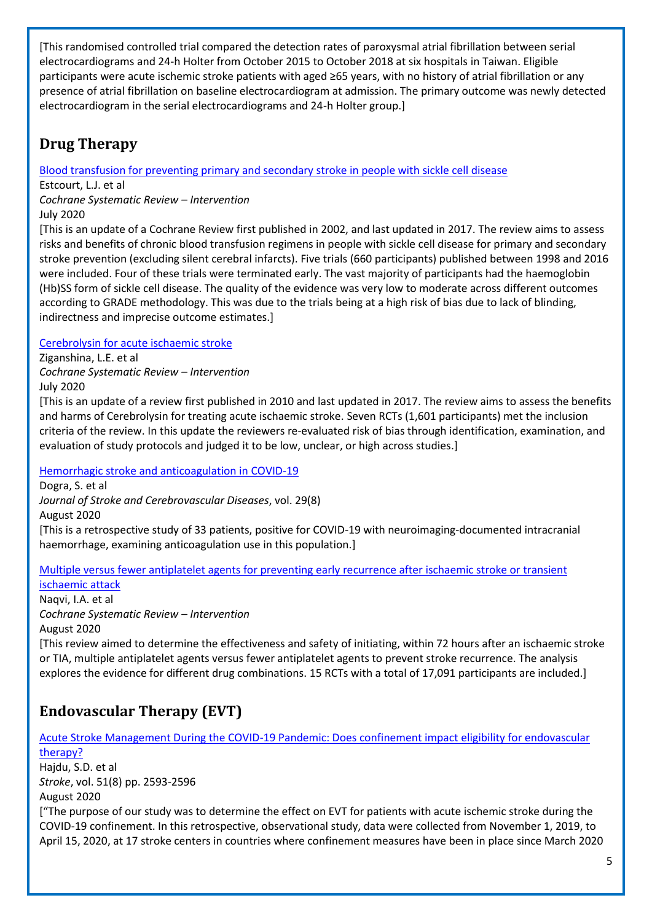[This randomised controlled trial compared the detection rates of paroxysmal atrial fibrillation between serial electrocardiograms and 24-h Holter from October 2015 to October 2018 at six hospitals in Taiwan. Eligible participants were acute ischemic stroke patients with aged ≥65 years, with no history of atrial fibrillation or any presence of atrial fibrillation on baseline electrocardiogram at admission. The primary outcome was newly detected electrocardiogram in the serial electrocardiograms and 24-h Holter group.]

## <span id="page-4-0"></span>**Drug Therapy**

[Blood transfusion for preventing primary and secondary stroke in people with sickle cell disease](https://www.cochranelibrary.com/cdsr/doi/10.1002/14651858.CD003146.pub4/full?highlightAbstract=stroke%7Cstrok)

Estcourt, L.J. et al

*Cochrane Systematic Review – Intervention*

#### July 2020

[This is an update of a Cochrane Review first published in 2002, and last updated in 2017. The review aims to assess risks and benefits of chronic blood transfusion regimens in people with sickle cell disease for primary and secondary stroke prevention (excluding silent cerebral infarcts). Five trials (660 participants) published between 1998 and 2016 were included. Four of these trials were terminated early. The vast majority of participants had the haemoglobin (Hb)SS form of sickle cell disease. The quality of the evidence was very low to moderate across different outcomes according to GRADE methodology. This was due to the trials being at a high risk of bias due to lack of blinding, indirectness and imprecise outcome estimates.]

## [Cerebrolysin for acute ischaemic stroke](https://www.cochranelibrary.com/cdsr/doi/10.1002/14651858.CD007026.pub6/full?highlightAbstract=stroke%7Cstrok)

Ziganshina, L.E. et al *Cochrane Systematic Review – Intervention* July 2020

[This is an update of a review first published in 2010 and last updated in 2017. The review aims to assess the benefits and harms of Cerebrolysin for treating acute ischaemic stroke. Seven RCTs (1,601 participants) met the inclusion criteria of the review. In this update the reviewers re‐evaluated risk of bias through identification, examination, and evaluation of study protocols and judged it to be low, unclear, or high across studies.]

[Hemorrhagic stroke and anticoagulation in COVID-19](https://www.strokejournal.org/article/S1052-3057(20)30402-X/pdf)

Dogra, S. et al *Journal of Stroke and Cerebrovascular Diseases*, vol. 29(8) August 2020 [This is a retrospective study of 33 patients, positive for COVID-19 with neuroimaging-documented intracranial haemorrhage, examining anticoagulation use in this population.]

## [Multiple versus fewer antiplatelet agents for preventing early recurrence after ischaemic stroke or transient](https://www.cochranelibrary.com/cdsr/doi/10.1002/14651858.CD009716.pub2/full?highlightAbstract=stroke%7Cstrok)

[ischaemic attack](https://www.cochranelibrary.com/cdsr/doi/10.1002/14651858.CD009716.pub2/full?highlightAbstract=stroke%7Cstrok) Naqvi, I.A. et al *Cochrane Systematic Review – Intervention* August 2020

[This review aimed to determine the effectiveness and safety of initiating, within 72 hours after an ischaemic stroke or TIA, multiple antiplatelet agents versus fewer antiplatelet agents to prevent stroke recurrence. The analysis explores the evidence for different drug combinations. 15 RCTs with a total of 17,091 participants are included.]

# <span id="page-4-1"></span>**Endovascular Therapy (EVT)**

[Acute Stroke Management During the COVID-19 Pandemic: Does confinement impact eligibility for endovascular](https://www.ncbi.nlm.nih.gov/pmc/articles/PMC7340133/)  [therapy?](https://www.ncbi.nlm.nih.gov/pmc/articles/PMC7340133/) Hajdu, S.D. et al *Stroke*, vol. 51(8) pp. 2593-2596 August 2020 ["The purpose of our study was to determine the effect on EVT for patients with acute ischemic stroke during the COVID-19 confinement. In this retrospective, observational study, data were collected from November 1, 2019, to April 15, 2020, at 17 stroke centers in countries where confinement measures have been in place since March 2020